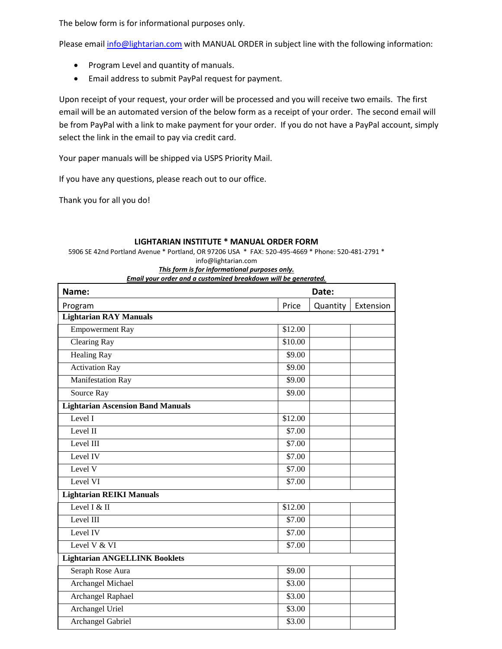The below form is for informational purposes only.

Please email [info@lightarian.com](mailto:info@lightarian.com) with MANUAL ORDER in subject line with the following information:

- Program Level and quantity of manuals.
- Email address to submit PayPal request for payment.

Upon receipt of your request, your order will be processed and you will receive two emails. The first email will be an automated version of the below form as a receipt of your order. The second email will be from PayPal with a link to make payment for your order. If you do not have a PayPal account, simply select the link in the email to pay via credit card.

Your paper manuals will be shipped via USPS Priority Mail.

If you have any questions, please reach out to our office.

Thank you for all you do!

| Name:                                    | Date:   |          |           |
|------------------------------------------|---------|----------|-----------|
| Program                                  | Price   | Quantity | Extension |
| <b>Lightarian RAY Manuals</b>            |         |          |           |
| <b>Empowerment Ray</b>                   | \$12.00 |          |           |
| <b>Clearing Ray</b>                      | \$10.00 |          |           |
| <b>Healing Ray</b>                       | \$9.00  |          |           |
| <b>Activation Ray</b>                    | \$9.00  |          |           |
| <b>Manifestation Ray</b>                 | \$9.00  |          |           |
| Source Ray                               | \$9.00  |          |           |
| <b>Lightarian Ascension Band Manuals</b> |         |          |           |
| Level I                                  | \$12.00 |          |           |
| Level II                                 | \$7.00  |          |           |
| Level III                                | \$7.00  |          |           |
| Level IV                                 | \$7.00  |          |           |
| Level V                                  | \$7.00  |          |           |
| Level VI                                 | \$7.00  |          |           |
| <b>Lightarian REIKI Manuals</b>          |         |          |           |
| Level $I & H$                            | \$12.00 |          |           |
| Level III                                | \$7.00  |          |           |
| Level IV                                 | \$7.00  |          |           |
| Level V & VI                             | \$7.00  |          |           |
| <b>Lightarian ANGELLINK Booklets</b>     |         |          |           |
| Seraph Rose Aura                         | \$9.00  |          |           |
| <b>Archangel Michael</b>                 | \$3.00  |          |           |
| Archangel Raphael                        | \$3.00  |          |           |
| <b>Archangel Uriel</b>                   | \$3.00  |          |           |
| <b>Archangel Gabriel</b>                 | \$3.00  |          |           |

## **LIGHTARIAN INSTITUTE \* MANUAL ORDER FORM**

5906 SE 42nd Portland Avenue \* Portland, OR 97206 USA \* FAX: 520-495-4669 \* Phone: 520-481-2791 \* info@lightarian.com

*This form is for informational purposes only.* 

*Email your order and a customized breakdown will be generated.*